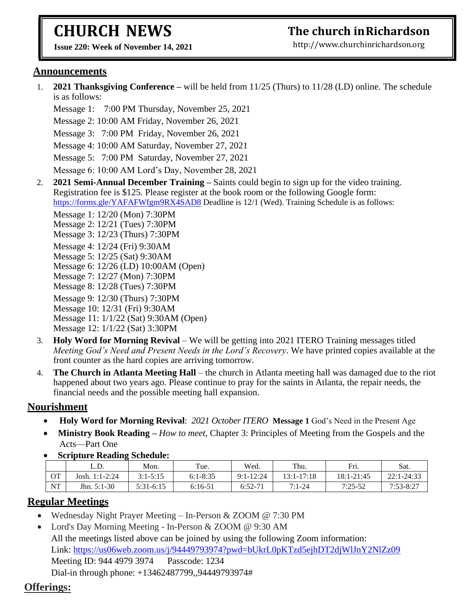# **CHURCH NEWS**

**The church inRichardson**

**Issue 220: Week of November 14, 2021** 

[http://www.churchinrichardson.org](http://www.churchinrichardson.org/)

#### **Announcements**

1. **2021 Thanksgiving Conference –** will be held from 11/25 (Thurs) to 11/28 (LD) online. The schedule is as follows:

Message 1: 7:00 PM Thursday, November 25, 2021

Message 2: 10:00 AM Friday, November 26, 2021

Message 3: 7:00 PM Friday, November 26, 2021

Message 4: 10:00 AM Saturday, November 27, 2021

Message 5: 7:00 PM Saturday, November 27, 2021

Message 6: 10:00 AM Lord's Day, November 28, 2021

2. **2021 Semi-Annual December Training –** Saints could begin to sign up for the video training. Registration fee is \$125. Please register at the book room or the following Google form: <https://forms.gle/YAFAFWfgm9RX4SAD8> Deadline is 12/1 (Wed). Training Schedule is as follows:

Message 1: 12/20 (Mon) 7:30PM Message 2: 12/21 (Tues) 7:30PM Message 3: 12/23 (Thurs) 7:30PM Message 4: 12/24 (Fri) 9:30AM Message 5: 12/25 (Sat) 9:30AM Message 6: 12/26 (LD) 10:00AM (Open) Message 7: 12/27 (Mon) 7:30PM Message 8: 12/28 (Tues) 7:30PM Message 9: 12/30 (Thurs) 7:30PM Message 10: 12/31 (Fri) 9:30AM Message 11: 1/1/22 (Sat) 9:30AM (Open) Message 12: 1/1/22 (Sat) 3:30PM

- 3. **Holy Word for Morning Revival** We will be getting into 2021 ITERO Training messages titled *Meeting God's Need and Present Needs in the Lord's Recovery*. We have printed copies available at the front counter as the hard copies are arriving tomorrow.
- 4. **The Church in Atlanta Meeting Hall** the church in Atlanta meeting hall was damaged due to the riot happened about two years ago. Please continue to pray for the saints in Atlanta, the repair needs, the financial needs and the possible meeting hall expansion.

### **Nourishment**

- **Holy Word for Morning Revival**: *2021 October ITERO* **Message 1** God's Need in the Present Age
- • **Ministry Book Reading –** *How to meet,* Chapter 3: Principles of Meeting from the Gospels and the Acts—Part One
- • **Scripture Reading Schedule:**

|    | L.D.             | Mon.         | Tue.         | Wed.          | Thu.           | Fri.       | Sat.          |
|----|------------------|--------------|--------------|---------------|----------------|------------|---------------|
| OТ | Josh. $1:1-2:24$ | $3:1 - 5:15$ | $6:1 - 8:35$ | $9:1 - 12:24$ | $13:1 - 17:18$ | 18:1-21:45 | 22:1-24:33    |
| NT | Jhn. $5:1-30$    | $5:31-6:15$  | $6:16-51$    | $6:52-7'$     | $7:1-24$       | $7:25-52$  | $7:53 - 8:27$ |

### **Regular Meetings**

- Wednesday Night Prayer Meeting In-Person & ZOOM @ 7:30 PM
- Lord's Day Morning Meeting In-Person & ZOOM @ 9:30 AM All the meetings listed above can be joined by using the following Zoom information: Link:<https://us06web.zoom.us/j/94449793974?pwd=bUkrL0pKTzd5ejhDT2djWlJnY2NlZz09> Meeting ID: 944 4979 3974 Passcode: 1234 Dial-in through phone: +13462487799,,94449793974#

## **Offerings:**